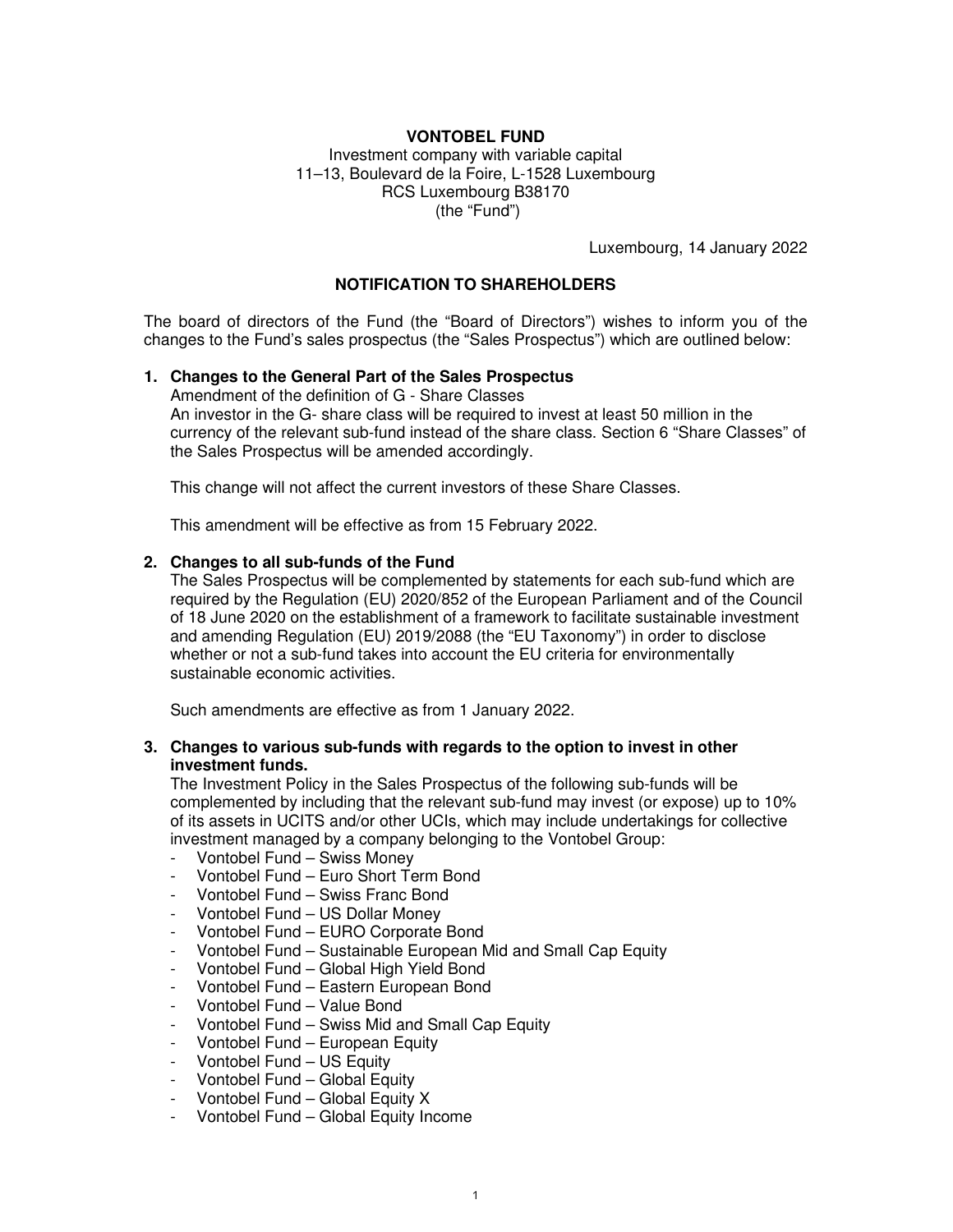# **VONTOBEL FUND**

Investment company with variable capital 11–13, Boulevard de la Foire, L-1528 Luxembourg RCS Luxembourg B38170 (the "Fund")

Luxembourg, 14 January 2022

#### **NOTIFICATION TO SHAREHOLDERS**

The board of directors of the Fund (the "Board of Directors") wishes to inform you of the changes to the Fund's sales prospectus (the "Sales Prospectus") which are outlined below:

#### **1. Changes to the General Part of the Sales Prospectus**

Amendment of the definition of G - Share Classes An investor in the G- share class will be required to invest at least 50 million in the currency of the relevant sub-fund instead of the share class. Section 6 "Share Classes" of the Sales Prospectus will be amended accordingly.

This change will not affect the current investors of these Share Classes.

This amendment will be effective as from 15 February 2022.

#### **2. Changes to all sub-funds of the Fund**

The Sales Prospectus will be complemented by statements for each sub-fund which are required by the Regulation (EU) 2020/852 of the European Parliament and of the Council of 18 June 2020 on the establishment of a framework to facilitate sustainable investment and amending Regulation (EU) 2019/2088 (the "EU Taxonomy") in order to disclose whether or not a sub-fund takes into account the EU criteria for environmentally sustainable economic activities.

Such amendments are effective as from 1 January 2022.

#### **3. Changes to various sub-funds with regards to the option to invest in other investment funds.**

The Investment Policy in the Sales Prospectus of the following sub-funds will be complemented by including that the relevant sub-fund may invest (or expose) up to 10% of its assets in UCITS and/or other UCIs, which may include undertakings for collective investment managed by a company belonging to the Vontobel Group:

- Vontobel Fund Swiss Money
- Vontobel Fund Euro Short Term Bond
- Vontobel Fund Swiss Franc Bond
- Vontobel Fund US Dollar Money
- Vontobel Fund EURO Corporate Bond
- Vontobel Fund Sustainable European Mid and Small Cap Equity
- Vontobel Fund Global High Yield Bond
- Vontobel Fund Eastern European Bond
- Vontobel Fund Value Bond
- Vontobel Fund Swiss Mid and Small Cap Equity
- Vontobel Fund European Equity
- Vontobel Fund US Equity
- Vontobel Fund Global Equity
- Vontobel Fund Global Equity X
- Vontobel Fund Global Equity Income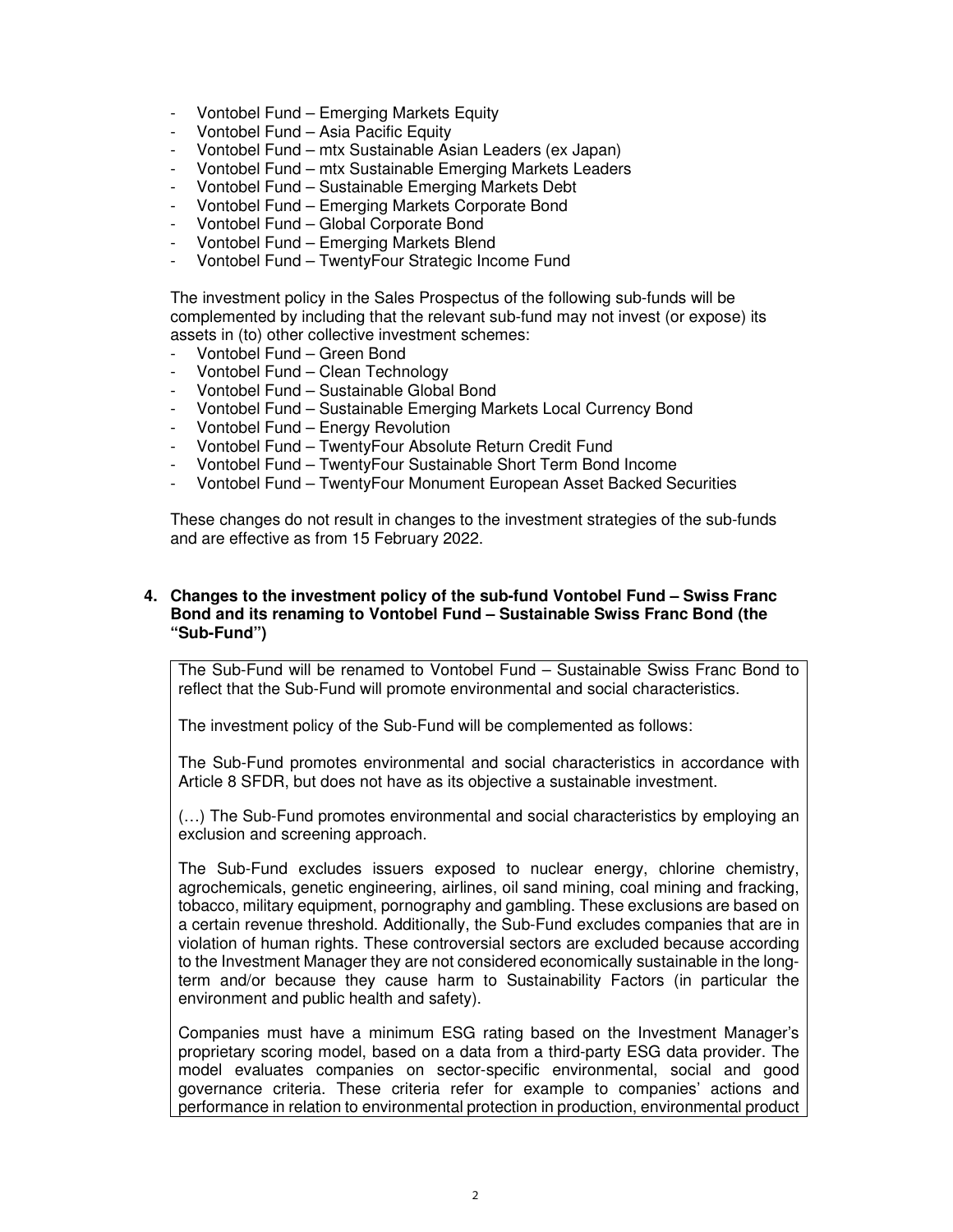- Vontobel Fund Emerging Markets Equity
- Vontobel Fund Asia Pacific Equity
- Vontobel Fund mtx Sustainable Asian Leaders (ex Japan)
- Vontobel Fund mtx Sustainable Emerging Markets Leaders
- Vontobel Fund Sustainable Emerging Markets Debt
- Vontobel Fund Emerging Markets Corporate Bond
- Vontobel Fund Global Corporate Bond
- Vontobel Fund Emerging Markets Blend
- Vontobel Fund TwentyFour Strategic Income Fund

The investment policy in the Sales Prospectus of the following sub-funds will be complemented by including that the relevant sub-fund may not invest (or expose) its assets in (to) other collective investment schemes:

- Vontobel Fund Green Bond
- Vontobel Fund Clean Technology
- Vontobel Fund Sustainable Global Bond
- Vontobel Fund Sustainable Emerging Markets Local Currency Bond
- Vontobel Fund Energy Revolution
- Vontobel Fund TwentyFour Absolute Return Credit Fund
- Vontobel Fund TwentyFour Sustainable Short Term Bond Income
- Vontobel Fund TwentyFour Monument European Asset Backed Securities

These changes do not result in changes to the investment strategies of the sub-funds and are effective as from 15 February 2022.

## **4. Changes to the investment policy of the sub-fund Vontobel Fund – Swiss Franc Bond and its renaming to Vontobel Fund – Sustainable Swiss Franc Bond (the "Sub-Fund")**

The Sub-Fund will be renamed to Vontobel Fund – Sustainable Swiss Franc Bond to reflect that the Sub-Fund will promote environmental and social characteristics.

The investment policy of the Sub-Fund will be complemented as follows:

The Sub-Fund promotes environmental and social characteristics in accordance with Article 8 SFDR, but does not have as its objective a sustainable investment.

(…) The Sub-Fund promotes environmental and social characteristics by employing an exclusion and screening approach.

The Sub-Fund excludes issuers exposed to nuclear energy, chlorine chemistry, agrochemicals, genetic engineering, airlines, oil sand mining, coal mining and fracking, tobacco, military equipment, pornography and gambling. These exclusions are based on a certain revenue threshold. Additionally, the Sub-Fund excludes companies that are in violation of human rights. These controversial sectors are excluded because according to the Investment Manager they are not considered economically sustainable in the longterm and/or because they cause harm to Sustainability Factors (in particular the environment and public health and safety).

Companies must have a minimum ESG rating based on the Investment Manager's proprietary scoring model, based on a data from a third-party ESG data provider. The model evaluates companies on sector-specific environmental, social and good governance criteria. These criteria refer for example to companies' actions and performance in relation to environmental protection in production, environmental product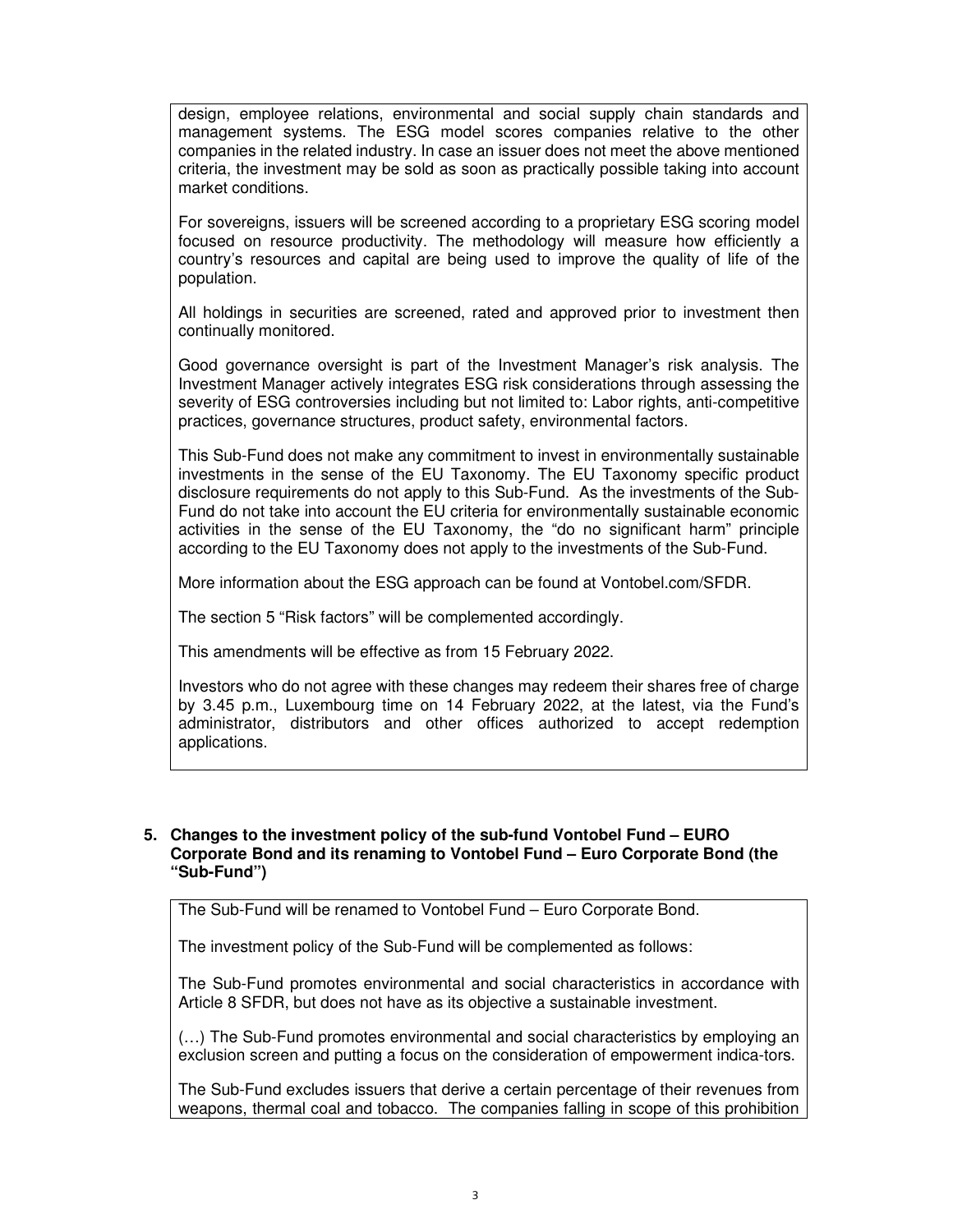design, employee relations, environmental and social supply chain standards and management systems. The ESG model scores companies relative to the other companies in the related industry. In case an issuer does not meet the above mentioned criteria, the investment may be sold as soon as practically possible taking into account market conditions.

For sovereigns, issuers will be screened according to a proprietary ESG scoring model focused on resource productivity. The methodology will measure how efficiently a country's resources and capital are being used to improve the quality of life of the population.

All holdings in securities are screened, rated and approved prior to investment then continually monitored.

Good governance oversight is part of the Investment Manager's risk analysis. The Investment Manager actively integrates ESG risk considerations through assessing the severity of ESG controversies including but not limited to: Labor rights, anti-competitive practices, governance structures, product safety, environmental factors.

This Sub-Fund does not make any commitment to invest in environmentally sustainable investments in the sense of the EU Taxonomy. The EU Taxonomy specific product disclosure requirements do not apply to this Sub-Fund. As the investments of the Sub-Fund do not take into account the EU criteria for environmentally sustainable economic activities in the sense of the EU Taxonomy, the "do no significant harm" principle according to the EU Taxonomy does not apply to the investments of the Sub-Fund.

More information about the ESG approach can be found at Vontobel.com/SFDR.

The section 5 "Risk factors" will be complemented accordingly.

This amendments will be effective as from 15 February 2022.

Investors who do not agree with these changes may redeem their shares free of charge by 3.45 p.m., Luxembourg time on 14 February 2022, at the latest, via the Fund's administrator, distributors and other offices authorized to accept redemption applications.

### **5. Changes to the investment policy of the sub-fund Vontobel Fund – EURO Corporate Bond and its renaming to Vontobel Fund – Euro Corporate Bond (the "Sub-Fund")**

The Sub-Fund will be renamed to Vontobel Fund – Euro Corporate Bond.

The investment policy of the Sub-Fund will be complemented as follows:

The Sub-Fund promotes environmental and social characteristics in accordance with Article 8 SFDR, but does not have as its objective a sustainable investment.

(…) The Sub-Fund promotes environmental and social characteristics by employing an exclusion screen and putting a focus on the consideration of empowerment indica-tors.

The Sub-Fund excludes issuers that derive a certain percentage of their revenues from weapons, thermal coal and tobacco. The companies falling in scope of this prohibition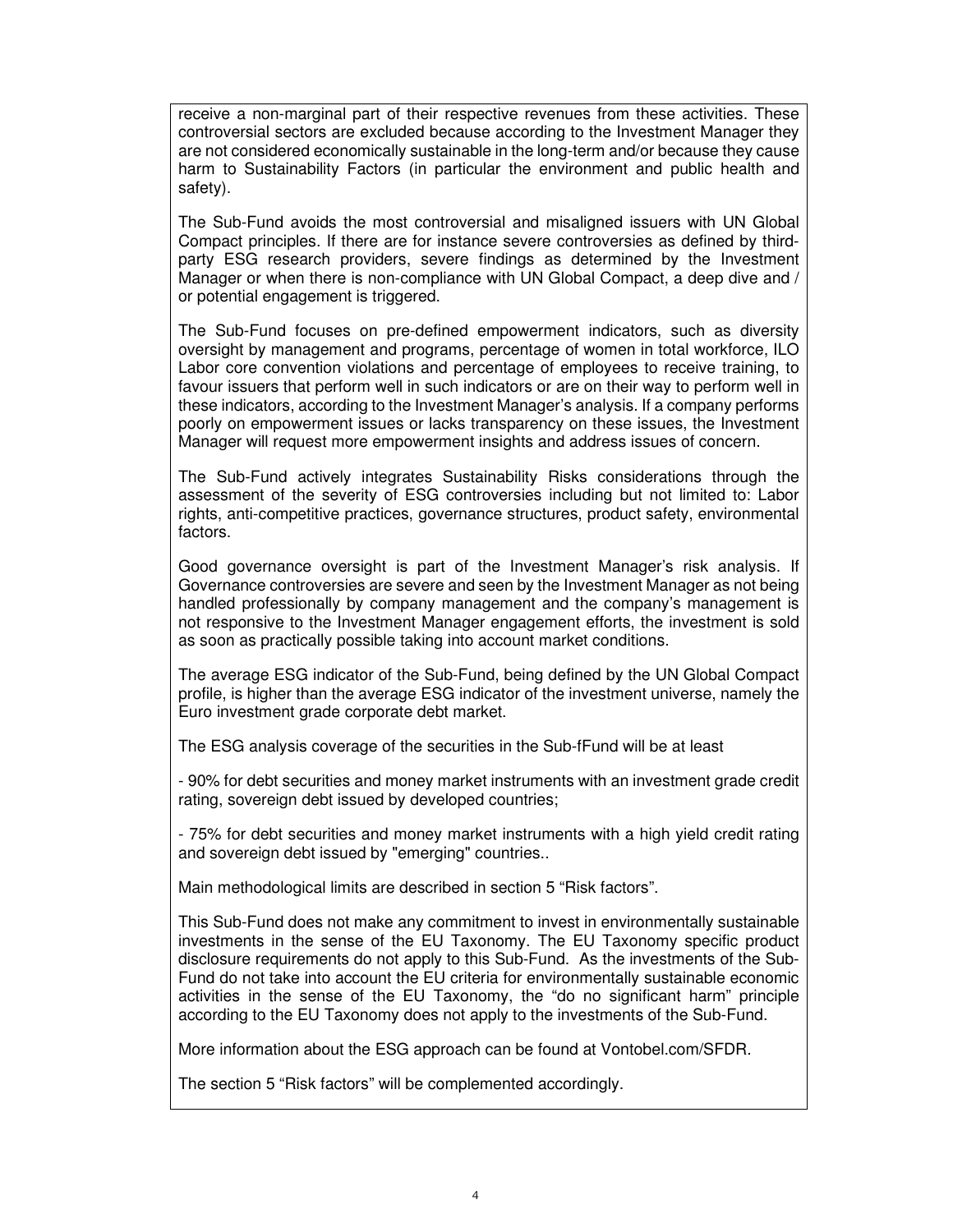receive a non-marginal part of their respective revenues from these activities. These controversial sectors are excluded because according to the Investment Manager they are not considered economically sustainable in the long-term and/or because they cause harm to Sustainability Factors (in particular the environment and public health and safety).

The Sub-Fund avoids the most controversial and misaligned issuers with UN Global Compact principles. If there are for instance severe controversies as defined by thirdparty ESG research providers, severe findings as determined by the Investment Manager or when there is non-compliance with UN Global Compact, a deep dive and / or potential engagement is triggered.

The Sub-Fund focuses on pre-defined empowerment indicators, such as diversity oversight by management and programs, percentage of women in total workforce, ILO Labor core convention violations and percentage of employees to receive training, to favour issuers that perform well in such indicators or are on their way to perform well in these indicators, according to the Investment Manager's analysis. If a company performs poorly on empowerment issues or lacks transparency on these issues, the Investment Manager will request more empowerment insights and address issues of concern.

The Sub-Fund actively integrates Sustainability Risks considerations through the assessment of the severity of ESG controversies including but not limited to: Labor rights, anti-competitive practices, governance structures, product safety, environmental factors.

Good governance oversight is part of the Investment Manager's risk analysis. If Governance controversies are severe and seen by the Investment Manager as not being handled professionally by company management and the company's management is not responsive to the Investment Manager engagement efforts, the investment is sold as soon as practically possible taking into account market conditions.

The average ESG indicator of the Sub-Fund, being defined by the UN Global Compact profile, is higher than the average ESG indicator of the investment universe, namely the Euro investment grade corporate debt market.

The ESG analysis coverage of the securities in the Sub-fFund will be at least

- 90% for debt securities and money market instruments with an investment grade credit rating, sovereign debt issued by developed countries;

- 75% for debt securities and money market instruments with a high yield credit rating and sovereign debt issued by "emerging" countries..

Main methodological limits are described in section 5 "Risk factors".

This Sub-Fund does not make any commitment to invest in environmentally sustainable investments in the sense of the EU Taxonomy. The EU Taxonomy specific product disclosure requirements do not apply to this Sub-Fund. As the investments of the Sub-Fund do not take into account the EU criteria for environmentally sustainable economic activities in the sense of the EU Taxonomy, the "do no significant harm" principle according to the EU Taxonomy does not apply to the investments of the Sub-Fund.

More information about the ESG approach can be found at Vontobel.com/SFDR.

The section 5 "Risk factors" will be complemented accordingly.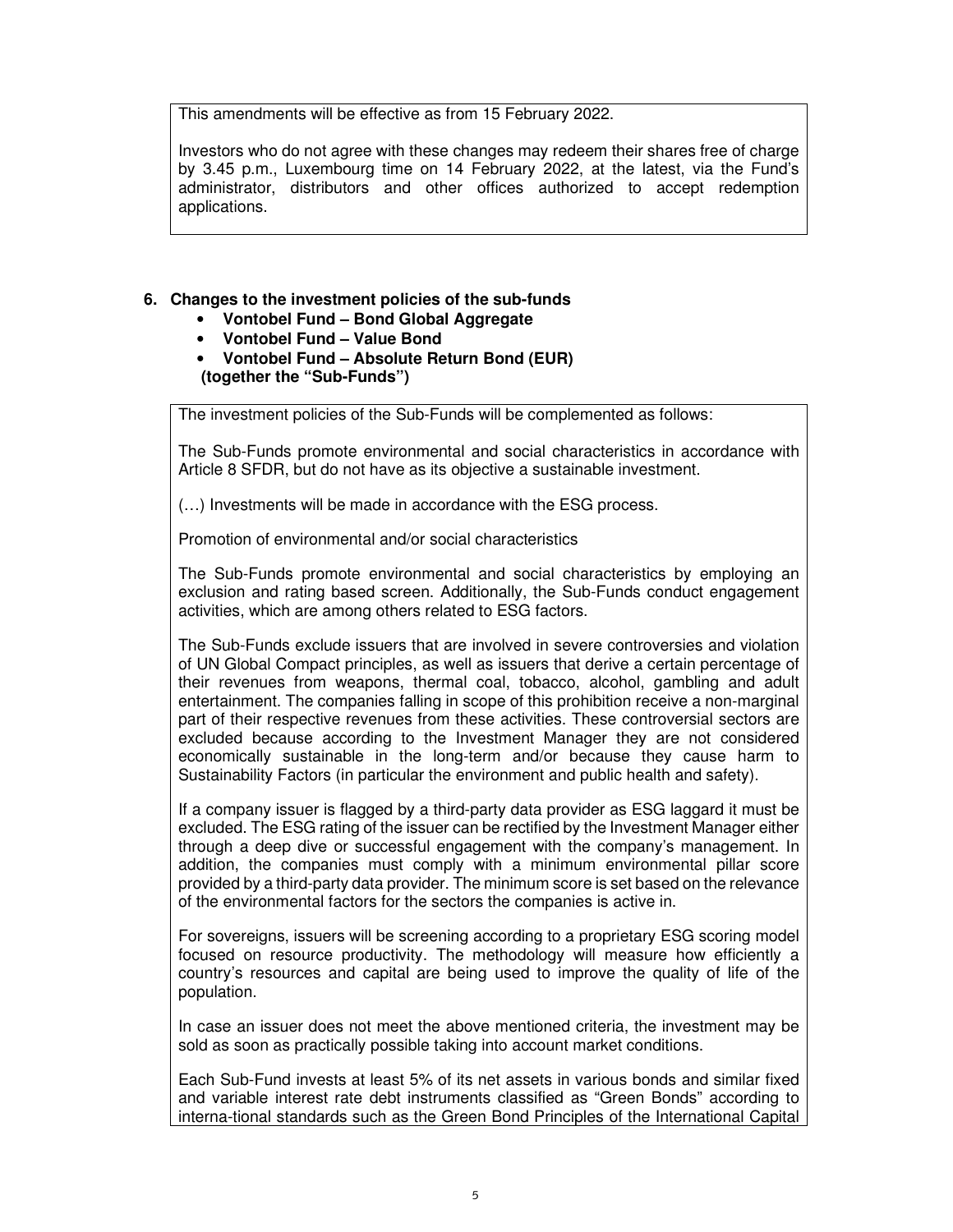This amendments will be effective as from 15 February 2022.

Investors who do not agree with these changes may redeem their shares free of charge by 3.45 p.m., Luxembourg time on 14 February 2022, at the latest, via the Fund's administrator, distributors and other offices authorized to accept redemption applications.

# **6. Changes to the investment policies of the sub-funds**

- **Vontobel Fund Bond Global Aggregate**
- **Vontobel Fund Value Bond**
- **Vontobel Fund Absolute Return Bond (EUR) (together the "Sub-Funds")**

The investment policies of the Sub-Funds will be complemented as follows:

The Sub-Funds promote environmental and social characteristics in accordance with Article 8 SFDR, but do not have as its objective a sustainable investment.

(…) Investments will be made in accordance with the ESG process.

Promotion of environmental and/or social characteristics

The Sub-Funds promote environmental and social characteristics by employing an exclusion and rating based screen. Additionally, the Sub-Funds conduct engagement activities, which are among others related to ESG factors.

The Sub-Funds exclude issuers that are involved in severe controversies and violation of UN Global Compact principles, as well as issuers that derive a certain percentage of their revenues from weapons, thermal coal, tobacco, alcohol, gambling and adult entertainment. The companies falling in scope of this prohibition receive a non-marginal part of their respective revenues from these activities. These controversial sectors are excluded because according to the Investment Manager they are not considered economically sustainable in the long-term and/or because they cause harm to Sustainability Factors (in particular the environment and public health and safety).

If a company issuer is flagged by a third-party data provider as ESG laggard it must be excluded. The ESG rating of the issuer can be rectified by the Investment Manager either through a deep dive or successful engagement with the company's management. In addition, the companies must comply with a minimum environmental pillar score provided by a third-party data provider. The minimum score is set based on the relevance of the environmental factors for the sectors the companies is active in.

For sovereigns, issuers will be screening according to a proprietary ESG scoring model focused on resource productivity. The methodology will measure how efficiently a country's resources and capital are being used to improve the quality of life of the population.

In case an issuer does not meet the above mentioned criteria, the investment may be sold as soon as practically possible taking into account market conditions.

Each Sub-Fund invests at least 5% of its net assets in various bonds and similar fixed and variable interest rate debt instruments classified as "Green Bonds" according to interna-tional standards such as the Green Bond Principles of the International Capital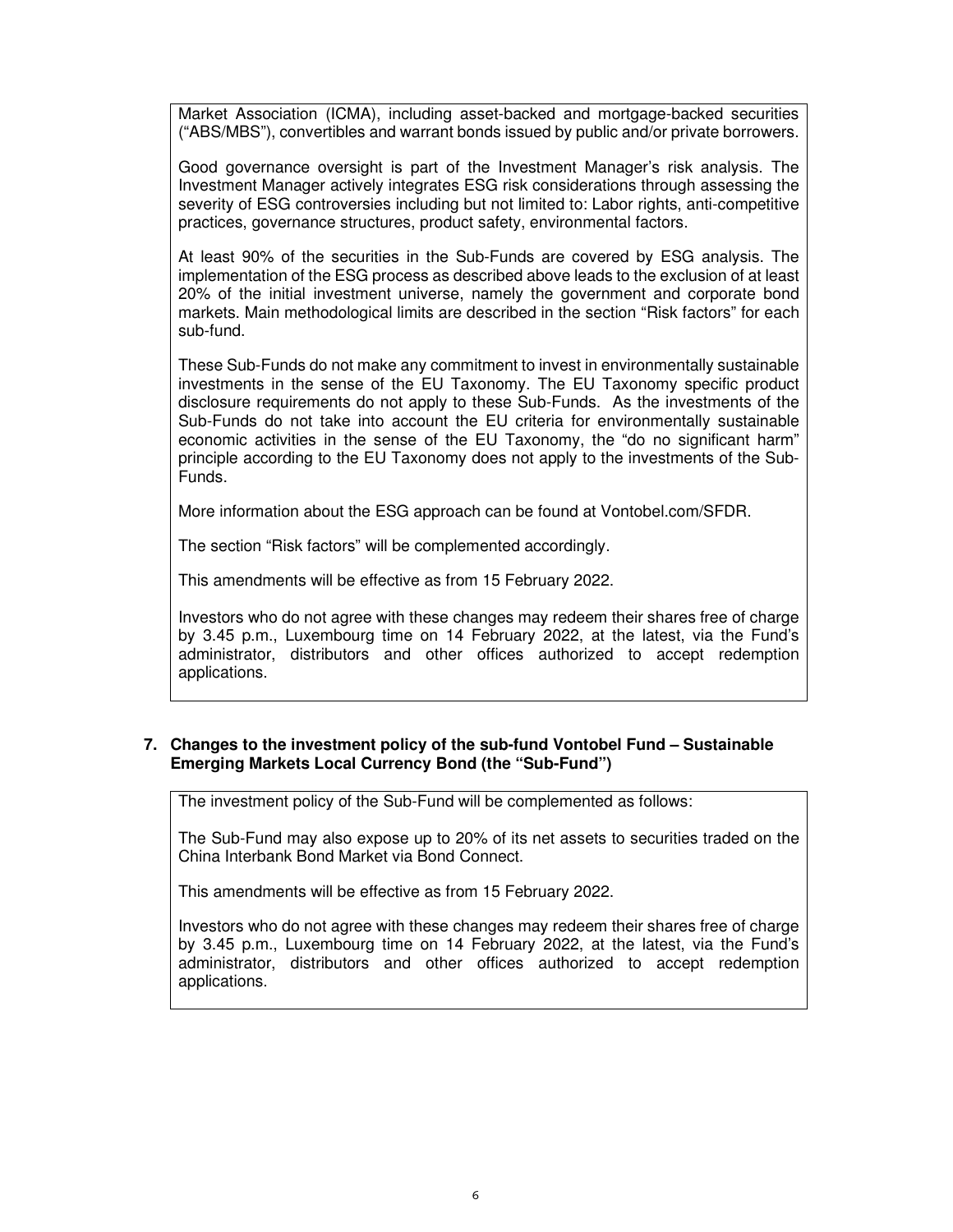Market Association (ICMA), including asset-backed and mortgage-backed securities ("ABS/MBS"), convertibles and warrant bonds issued by public and/or private borrowers.

Good governance oversight is part of the Investment Manager's risk analysis. The Investment Manager actively integrates ESG risk considerations through assessing the severity of ESG controversies including but not limited to: Labor rights, anti-competitive practices, governance structures, product safety, environmental factors.

At least 90% of the securities in the Sub-Funds are covered by ESG analysis. The implementation of the ESG process as described above leads to the exclusion of at least 20% of the initial investment universe, namely the government and corporate bond markets. Main methodological limits are described in the section "Risk factors" for each sub-fund.

These Sub-Funds do not make any commitment to invest in environmentally sustainable investments in the sense of the EU Taxonomy. The EU Taxonomy specific product disclosure requirements do not apply to these Sub-Funds. As the investments of the Sub-Funds do not take into account the EU criteria for environmentally sustainable economic activities in the sense of the EU Taxonomy, the "do no significant harm" principle according to the EU Taxonomy does not apply to the investments of the Sub-Funds.

More information about the ESG approach can be found at Vontobel.com/SFDR.

The section "Risk factors" will be complemented accordingly.

This amendments will be effective as from 15 February 2022.

Investors who do not agree with these changes may redeem their shares free of charge by 3.45 p.m., Luxembourg time on 14 February 2022, at the latest, via the Fund's administrator, distributors and other offices authorized to accept redemption applications.

# **7. Changes to the investment policy of the sub-fund Vontobel Fund – Sustainable Emerging Markets Local Currency Bond (the "Sub-Fund")**

The investment policy of the Sub-Fund will be complemented as follows:

The Sub-Fund may also expose up to 20% of its net assets to securities traded on the China Interbank Bond Market via Bond Connect.

This amendments will be effective as from 15 February 2022.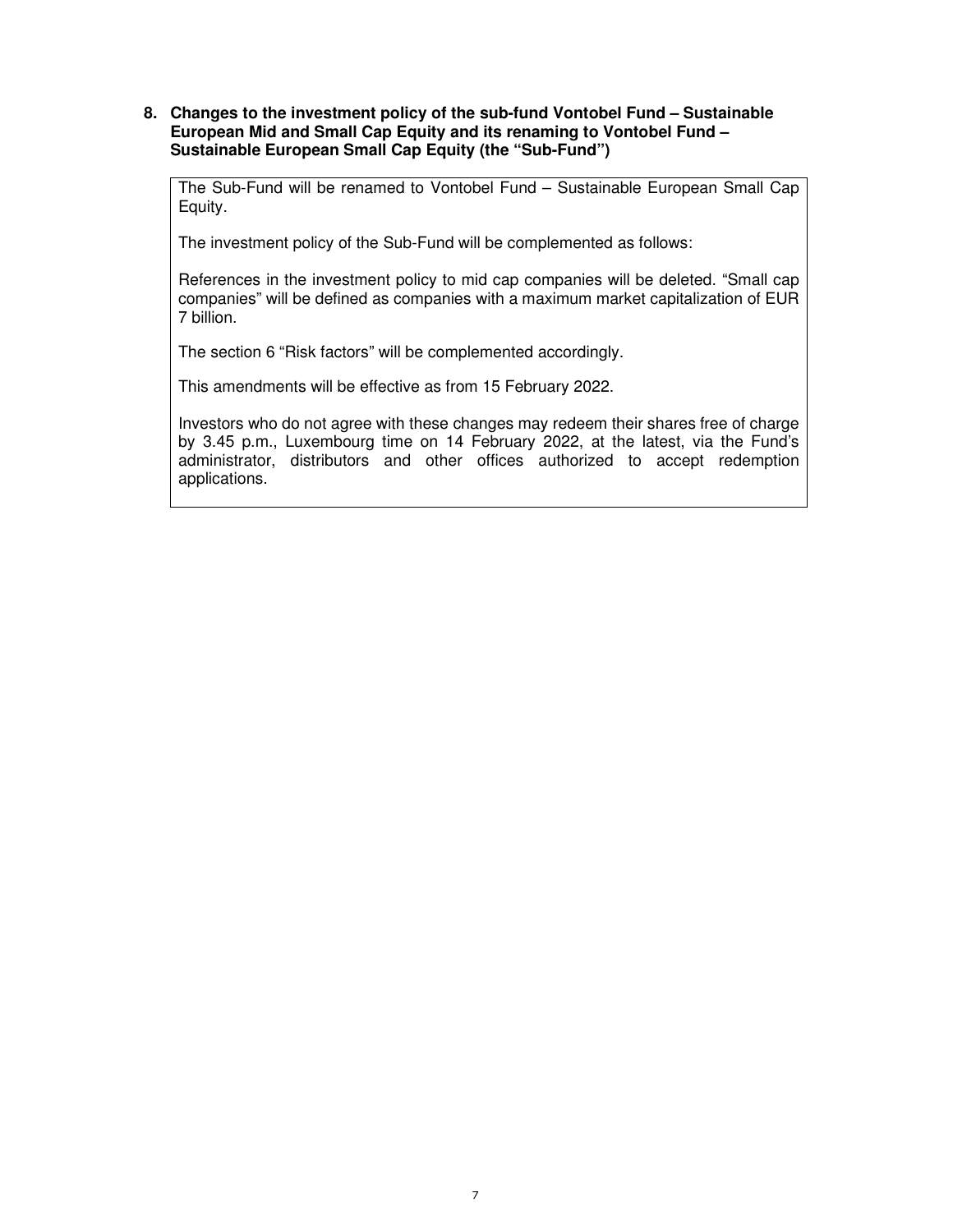## **8. Changes to the investment policy of the sub-fund Vontobel Fund – Sustainable European Mid and Small Cap Equity and its renaming to Vontobel Fund – Sustainable European Small Cap Equity (the "Sub-Fund")**

The Sub-Fund will be renamed to Vontobel Fund – Sustainable European Small Cap Equity.

The investment policy of the Sub-Fund will be complemented as follows:

References in the investment policy to mid cap companies will be deleted. "Small cap companies" will be defined as companies with a maximum market capitalization of EUR 7 billion.

The section 6 "Risk factors" will be complemented accordingly.

This amendments will be effective as from 15 February 2022.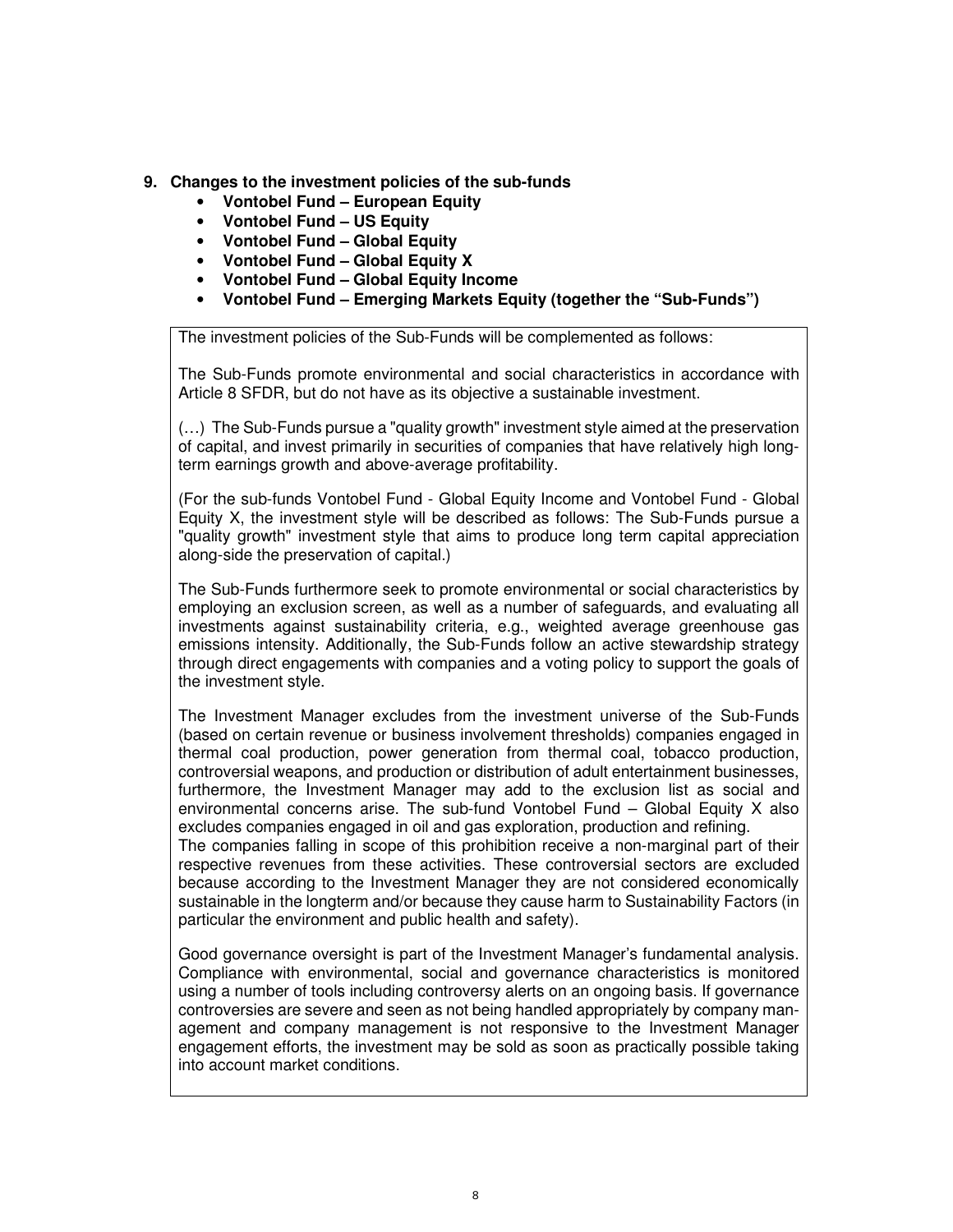- **9. Changes to the investment policies of the sub-funds** 
	- **Vontobel Fund European Equity**
	- **Vontobel Fund US Equity**
	- **Vontobel Fund Global Equity**
	- **Vontobel Fund Global Equity X**
	- **Vontobel Fund Global Equity Income**
	- **Vontobel Fund Emerging Markets Equity (together the "Sub-Funds")**

The investment policies of the Sub-Funds will be complemented as follows:

The Sub-Funds promote environmental and social characteristics in accordance with Article 8 SFDR, but do not have as its objective a sustainable investment.

(…) The Sub-Funds pursue a "quality growth" investment style aimed at the preservation of capital, and invest primarily in securities of companies that have relatively high longterm earnings growth and above-average profitability.

(For the sub-funds Vontobel Fund - Global Equity Income and Vontobel Fund - Global Equity X, the investment style will be described as follows: The Sub-Funds pursue a "quality growth" investment style that aims to produce long term capital appreciation along-side the preservation of capital.)

The Sub-Funds furthermore seek to promote environmental or social characteristics by employing an exclusion screen, as well as a number of safeguards, and evaluating all investments against sustainability criteria, e.g., weighted average greenhouse gas emissions intensity. Additionally, the Sub-Funds follow an active stewardship strategy through direct engagements with companies and a voting policy to support the goals of the investment style.

The Investment Manager excludes from the investment universe of the Sub-Funds (based on certain revenue or business involvement thresholds) companies engaged in thermal coal production, power generation from thermal coal, tobacco production, controversial weapons, and production or distribution of adult entertainment businesses, furthermore, the Investment Manager may add to the exclusion list as social and environmental concerns arise. The sub-fund Vontobel Fund – Global Equity X also excludes companies engaged in oil and gas exploration, production and refining.

The companies falling in scope of this prohibition receive a non-marginal part of their respective revenues from these activities. These controversial sectors are excluded because according to the Investment Manager they are not considered economically sustainable in the longterm and/or because they cause harm to Sustainability Factors (in particular the environment and public health and safety).

Good governance oversight is part of the Investment Manager's fundamental analysis. Compliance with environmental, social and governance characteristics is monitored using a number of tools including controversy alerts on an ongoing basis. If governance controversies are severe and seen as not being handled appropriately by company management and company management is not responsive to the Investment Manager engagement efforts, the investment may be sold as soon as practically possible taking into account market conditions.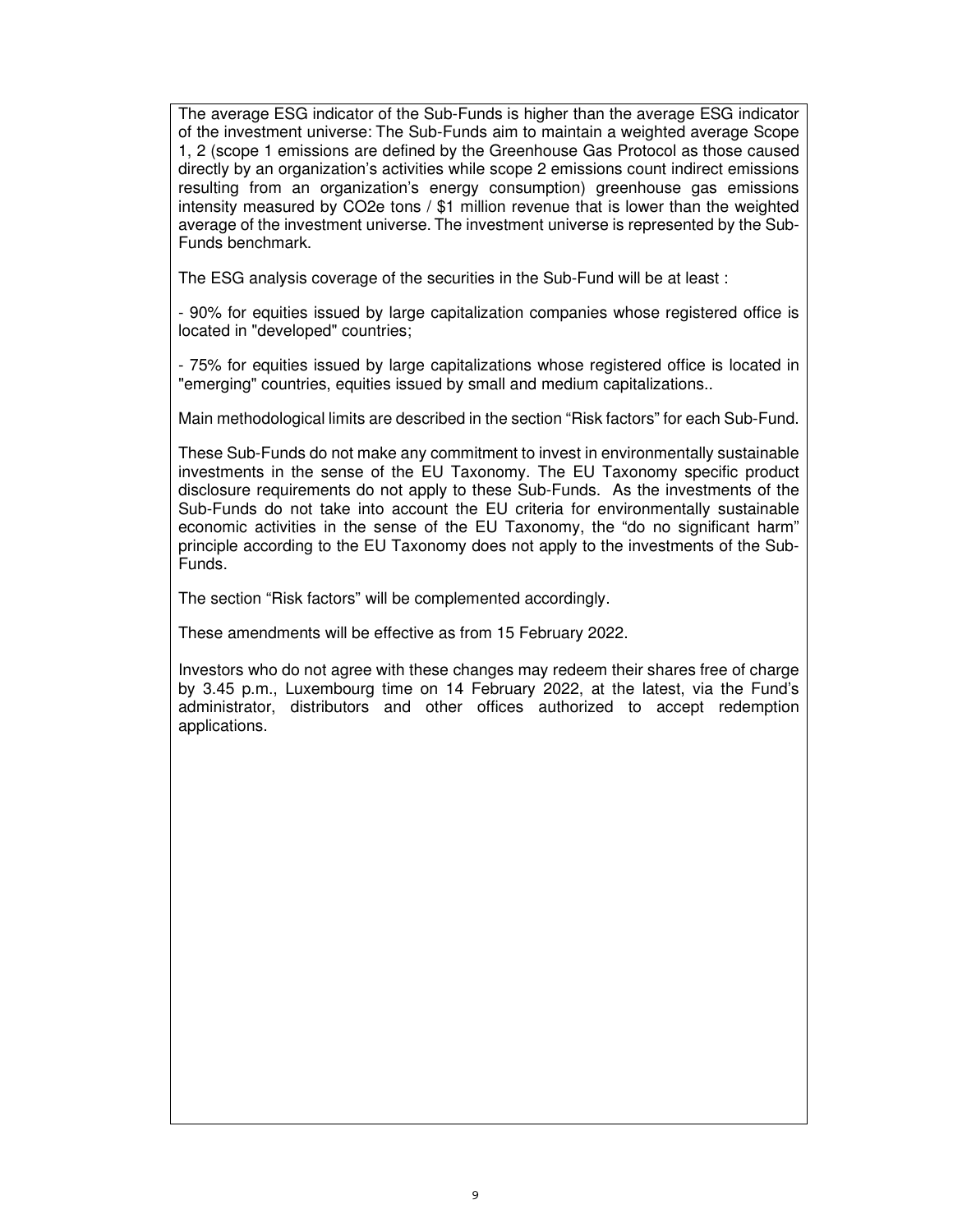The average ESG indicator of the Sub-Funds is higher than the average ESG indicator of the investment universe: The Sub-Funds aim to maintain a weighted average Scope 1, 2 (scope 1 emissions are defined by the Greenhouse Gas Protocol as those caused directly by an organization's activities while scope 2 emissions count indirect emissions resulting from an organization's energy consumption) greenhouse gas emissions intensity measured by CO2e tons / \$1 million revenue that is lower than the weighted average of the investment universe. The investment universe is represented by the Sub-Funds benchmark.

The ESG analysis coverage of the securities in the Sub-Fund will be at least :

- 90% for equities issued by large capitalization companies whose registered office is located in "developed" countries;

- 75% for equities issued by large capitalizations whose registered office is located in "emerging" countries, equities issued by small and medium capitalizations..

Main methodological limits are described in the section "Risk factors" for each Sub-Fund.

These Sub-Funds do not make any commitment to invest in environmentally sustainable investments in the sense of the EU Taxonomy. The EU Taxonomy specific product disclosure requirements do not apply to these Sub-Funds. As the investments of the Sub-Funds do not take into account the EU criteria for environmentally sustainable economic activities in the sense of the EU Taxonomy, the "do no significant harm" principle according to the EU Taxonomy does not apply to the investments of the Sub-Funds.

The section "Risk factors" will be complemented accordingly.

These amendments will be effective as from 15 February 2022.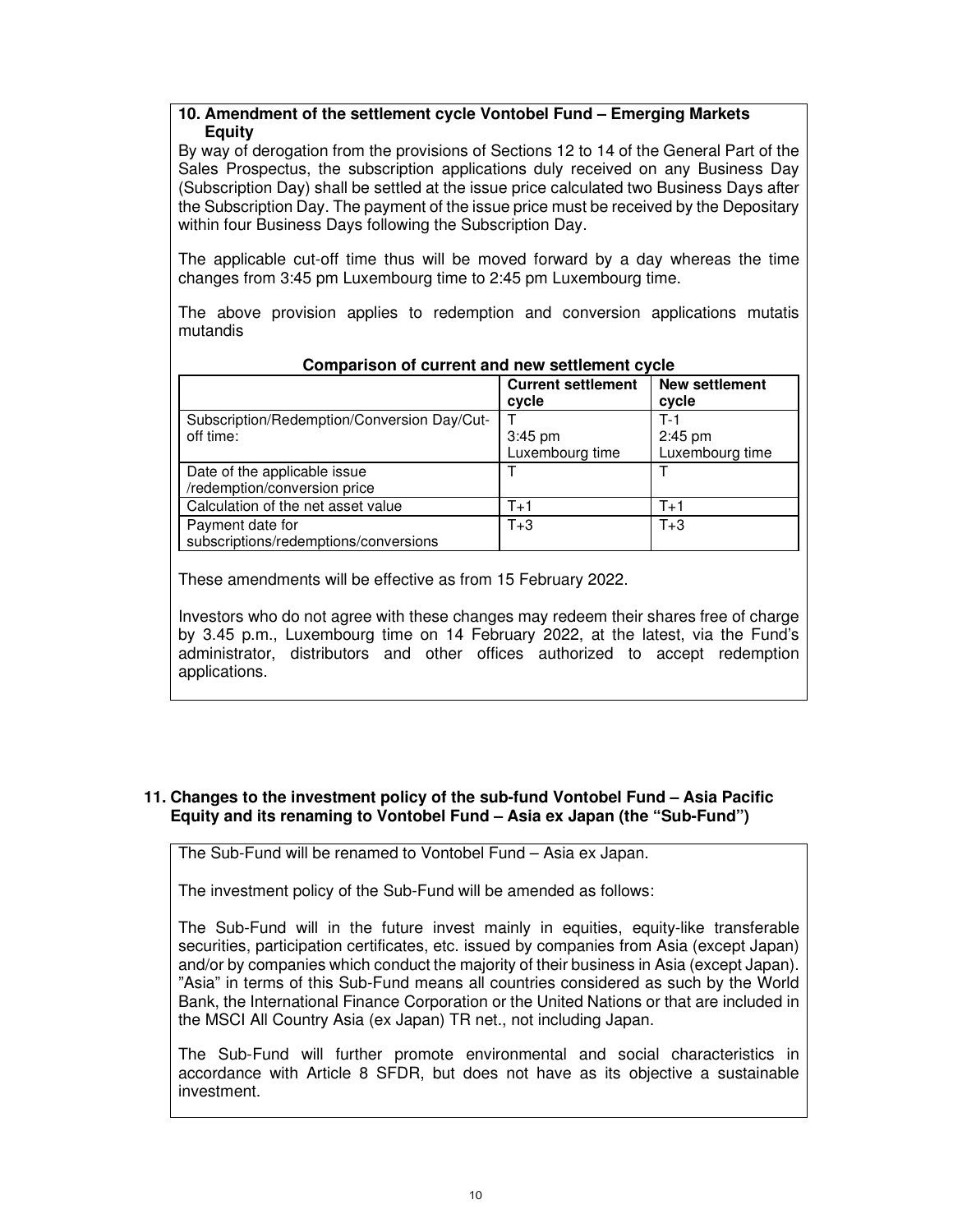# **10. Amendment of the settlement cycle Vontobel Fund – Emerging Markets Equity**

By way of derogation from the provisions of Sections 12 to 14 of the General Part of the Sales Prospectus, the subscription applications duly received on any Business Day (Subscription Day) shall be settled at the issue price calculated two Business Days after the Subscription Day. The payment of the issue price must be received by the Depositary within four Business Days following the Subscription Day.

The applicable cut-off time thus will be moved forward by a day whereas the time changes from 3:45 pm Luxembourg time to 2:45 pm Luxembourg time.

The above provision applies to redemption and conversion applications mutatis mutandis

|                                                           | <b>Current settlement</b><br>cycle | <b>New settlement</b><br>cycle |
|-----------------------------------------------------------|------------------------------------|--------------------------------|
| Subscription/Redemption/Conversion Day/Cut-               |                                    | T-1                            |
| off time:                                                 | 3:45 pm                            | $2:45$ pm                      |
|                                                           | Luxembourg time                    | Luxembourg time                |
| Date of the applicable issue                              |                                    |                                |
| /redemption/conversion price                              |                                    |                                |
| Calculation of the net asset value                        | $T+1$                              | $T+1$                          |
| Payment date for<br>subscriptions/redemptions/conversions | $T+3$                              | $T+3$                          |

## **Comparison of current and new settlement cycle**

These amendments will be effective as from 15 February 2022.

Investors who do not agree with these changes may redeem their shares free of charge by 3.45 p.m., Luxembourg time on 14 February 2022, at the latest, via the Fund's administrator, distributors and other offices authorized to accept redemption applications.

# **11. Changes to the investment policy of the sub-fund Vontobel Fund – Asia Pacific Equity and its renaming to Vontobel Fund – Asia ex Japan (the "Sub-Fund")**

The Sub-Fund will be renamed to Vontobel Fund – Asia ex Japan.

The investment policy of the Sub-Fund will be amended as follows:

The Sub-Fund will in the future invest mainly in equities, equity-like transferable securities, participation certificates, etc. issued by companies from Asia (except Japan) and/or by companies which conduct the majority of their business in Asia (except Japan). "Asia" in terms of this Sub-Fund means all countries considered as such by the World Bank, the International Finance Corporation or the United Nations or that are included in the MSCI All Country Asia (ex Japan) TR net., not including Japan.

The Sub-Fund will further promote environmental and social characteristics in accordance with Article 8 SFDR, but does not have as its objective a sustainable investment.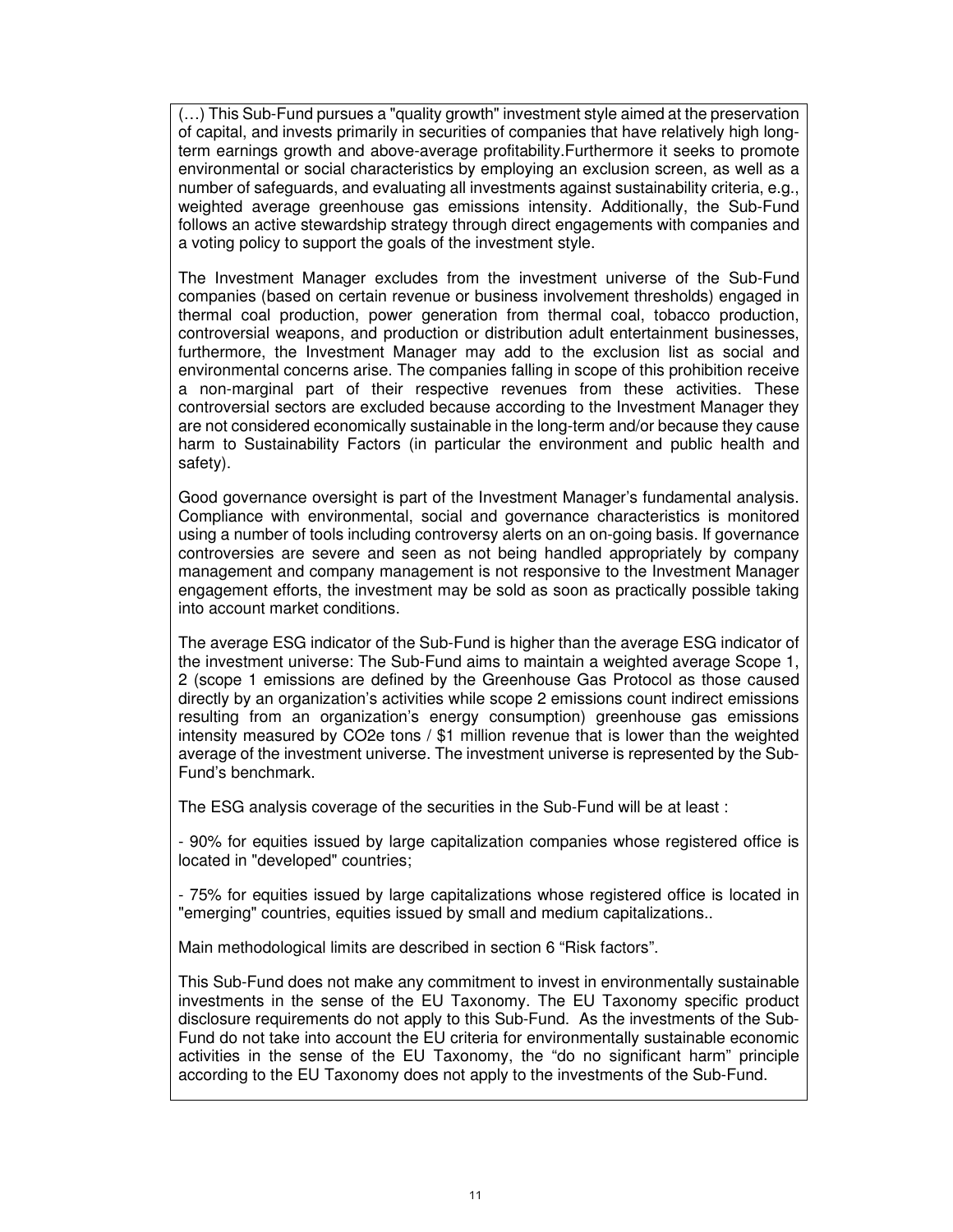(…) This Sub-Fund pursues a "quality growth" investment style aimed at the preservation of capital, and invests primarily in securities of companies that have relatively high longterm earnings growth and above-average profitability.Furthermore it seeks to promote environmental or social characteristics by employing an exclusion screen, as well as a number of safeguards, and evaluating all investments against sustainability criteria, e.g., weighted average greenhouse gas emissions intensity. Additionally, the Sub-Fund follows an active stewardship strategy through direct engagements with companies and a voting policy to support the goals of the investment style.

The Investment Manager excludes from the investment universe of the Sub-Fund companies (based on certain revenue or business involvement thresholds) engaged in thermal coal production, power generation from thermal coal, tobacco production, controversial weapons, and production or distribution adult entertainment businesses, furthermore, the Investment Manager may add to the exclusion list as social and environmental concerns arise. The companies falling in scope of this prohibition receive a non-marginal part of their respective revenues from these activities. These controversial sectors are excluded because according to the Investment Manager they are not considered economically sustainable in the long-term and/or because they cause harm to Sustainability Factors (in particular the environment and public health and safety).

Good governance oversight is part of the Investment Manager's fundamental analysis. Compliance with environmental, social and governance characteristics is monitored using a number of tools including controversy alerts on an on-going basis. If governance controversies are severe and seen as not being handled appropriately by company management and company management is not responsive to the Investment Manager engagement efforts, the investment may be sold as soon as practically possible taking into account market conditions.

The average ESG indicator of the Sub-Fund is higher than the average ESG indicator of the investment universe: The Sub-Fund aims to maintain a weighted average Scope 1, 2 (scope 1 emissions are defined by the Greenhouse Gas Protocol as those caused directly by an organization's activities while scope 2 emissions count indirect emissions resulting from an organization's energy consumption) greenhouse gas emissions intensity measured by CO2e tons / \$1 million revenue that is lower than the weighted average of the investment universe. The investment universe is represented by the Sub-Fund's benchmark.

The ESG analysis coverage of the securities in the Sub-Fund will be at least :

- 90% for equities issued by large capitalization companies whose registered office is located in "developed" countries;

- 75% for equities issued by large capitalizations whose registered office is located in "emerging" countries, equities issued by small and medium capitalizations..

Main methodological limits are described in section 6 "Risk factors".

This Sub-Fund does not make any commitment to invest in environmentally sustainable investments in the sense of the EU Taxonomy. The EU Taxonomy specific product disclosure requirements do not apply to this Sub-Fund. As the investments of the Sub-Fund do not take into account the EU criteria for environmentally sustainable economic activities in the sense of the EU Taxonomy, the "do no significant harm" principle according to the EU Taxonomy does not apply to the investments of the Sub-Fund.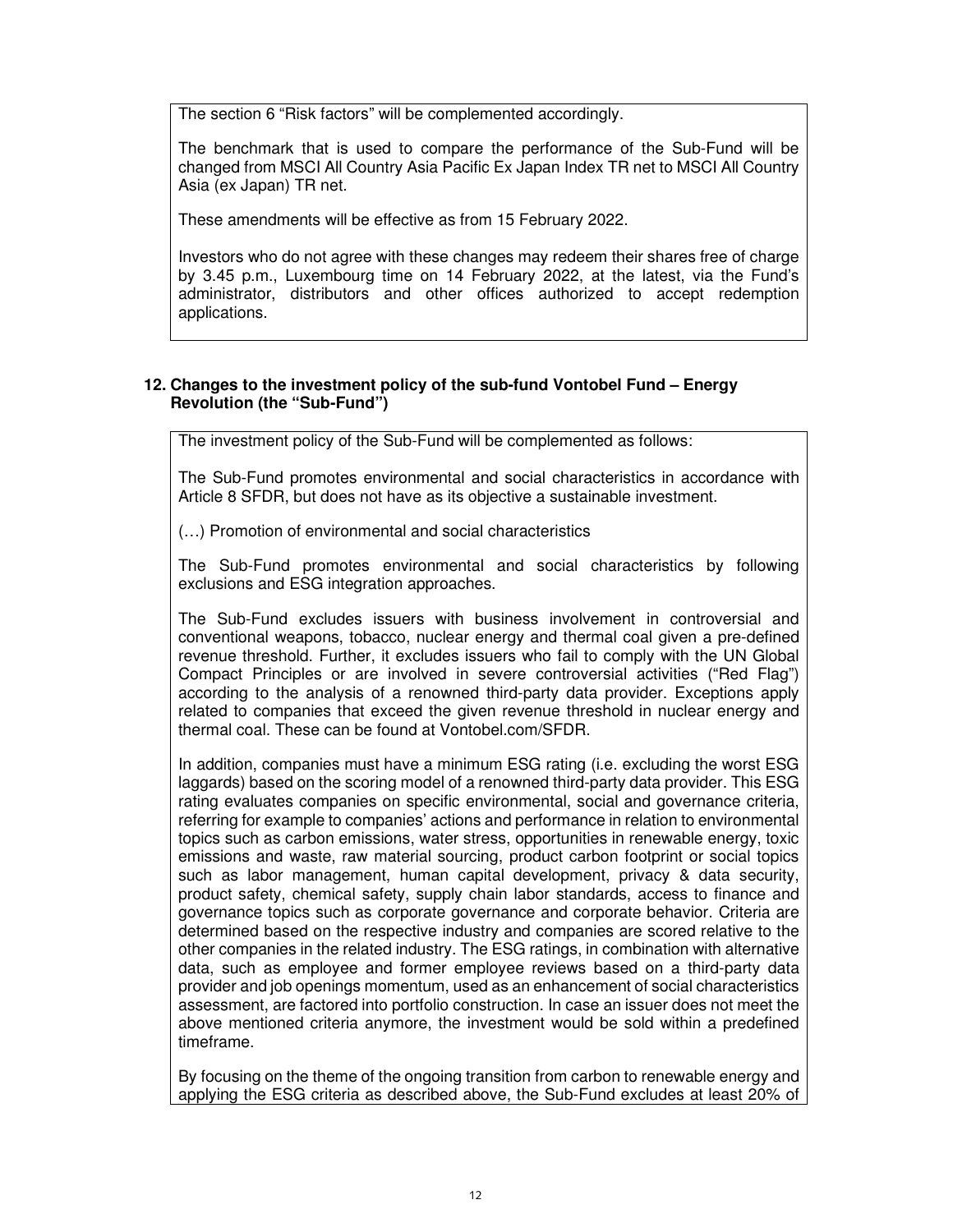The section 6 "Risk factors" will be complemented accordingly.

The benchmark that is used to compare the performance of the Sub-Fund will be changed from MSCI All Country Asia Pacific Ex Japan Index TR net to MSCI All Country Asia (ex Japan) TR net.

These amendments will be effective as from 15 February 2022.

Investors who do not agree with these changes may redeem their shares free of charge by 3.45 p.m., Luxembourg time on 14 February 2022, at the latest, via the Fund's administrator, distributors and other offices authorized to accept redemption applications.

# **12. Changes to the investment policy of the sub-fund Vontobel Fund – Energy Revolution (the "Sub-Fund")**

The investment policy of the Sub-Fund will be complemented as follows:

The Sub-Fund promotes environmental and social characteristics in accordance with Article 8 SFDR, but does not have as its objective a sustainable investment.

(…) Promotion of environmental and social characteristics

The Sub-Fund promotes environmental and social characteristics by following exclusions and ESG integration approaches.

The Sub-Fund excludes issuers with business involvement in controversial and conventional weapons, tobacco, nuclear energy and thermal coal given a pre-defined revenue threshold. Further, it excludes issuers who fail to comply with the UN Global Compact Principles or are involved in severe controversial activities ("Red Flag") according to the analysis of a renowned third-party data provider. Exceptions apply related to companies that exceed the given revenue threshold in nuclear energy and thermal coal. These can be found at Vontobel.com/SFDR.

In addition, companies must have a minimum ESG rating (i.e. excluding the worst ESG laggards) based on the scoring model of a renowned third-party data provider. This ESG rating evaluates companies on specific environmental, social and governance criteria, referring for example to companies' actions and performance in relation to environmental topics such as carbon emissions, water stress, opportunities in renewable energy, toxic emissions and waste, raw material sourcing, product carbon footprint or social topics such as labor management, human capital development, privacy & data security, product safety, chemical safety, supply chain labor standards, access to finance and governance topics such as corporate governance and corporate behavior. Criteria are determined based on the respective industry and companies are scored relative to the other companies in the related industry. The ESG ratings, in combination with alternative data, such as employee and former employee reviews based on a third-party data provider and job openings momentum, used as an enhancement of social characteristics assessment, are factored into portfolio construction. In case an issuer does not meet the above mentioned criteria anymore, the investment would be sold within a predefined timeframe.

By focusing on the theme of the ongoing transition from carbon to renewable energy and applying the ESG criteria as described above, the Sub-Fund excludes at least 20% of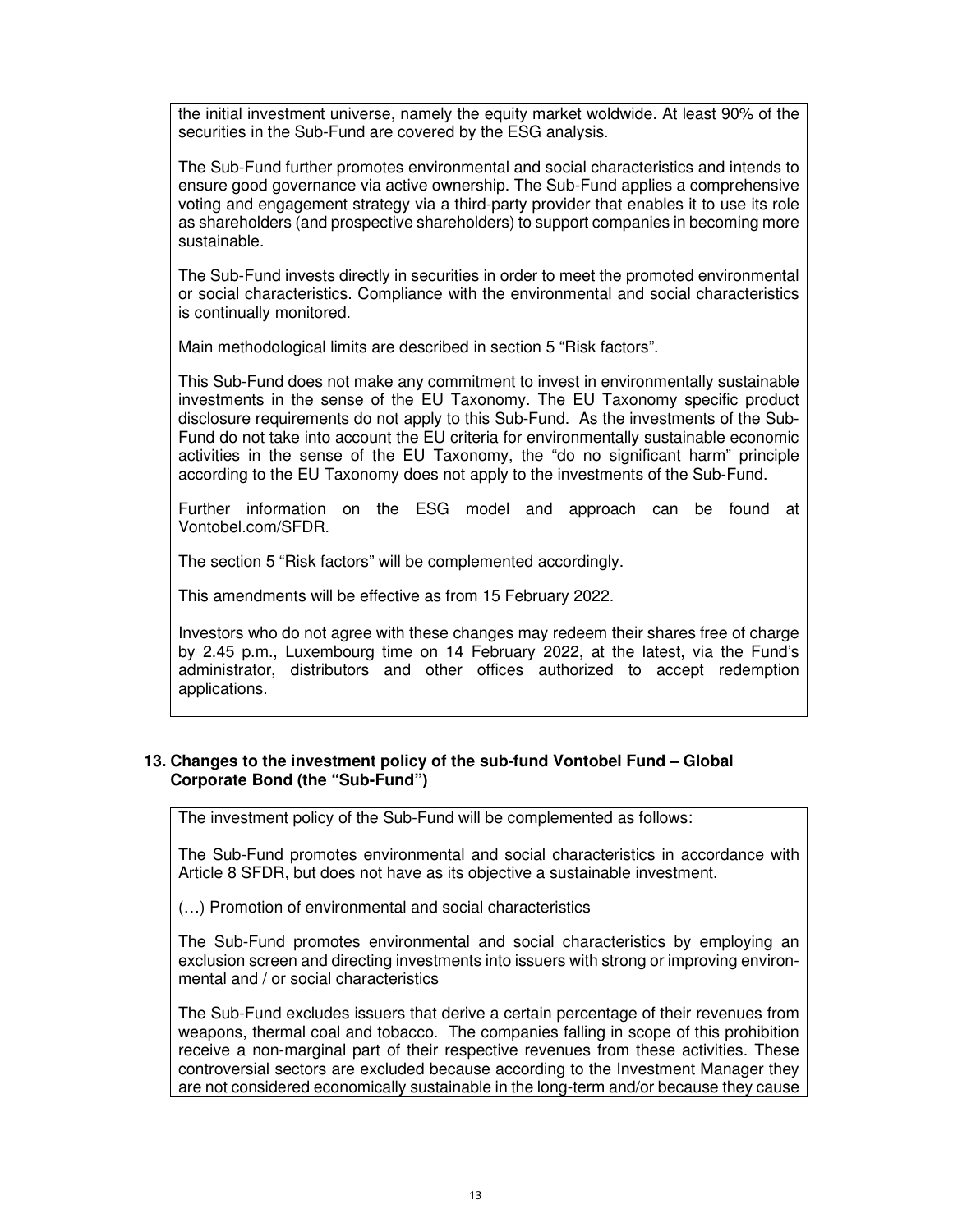the initial investment universe, namely the equity market woldwide. At least 90% of the securities in the Sub-Fund are covered by the ESG analysis.

The Sub-Fund further promotes environmental and social characteristics and intends to ensure good governance via active ownership. The Sub-Fund applies a comprehensive voting and engagement strategy via a third-party provider that enables it to use its role as shareholders (and prospective shareholders) to support companies in becoming more sustainable.

The Sub-Fund invests directly in securities in order to meet the promoted environmental or social characteristics. Compliance with the environmental and social characteristics is continually monitored.

Main methodological limits are described in section 5 "Risk factors".

This Sub-Fund does not make any commitment to invest in environmentally sustainable investments in the sense of the EU Taxonomy. The EU Taxonomy specific product disclosure requirements do not apply to this Sub-Fund. As the investments of the Sub-Fund do not take into account the EU criteria for environmentally sustainable economic activities in the sense of the EU Taxonomy, the "do no significant harm" principle according to the EU Taxonomy does not apply to the investments of the Sub-Fund.

Further information on the ESG model and approach can be found at Vontobel.com/SFDR.

The section 5 "Risk factors" will be complemented accordingly.

This amendments will be effective as from 15 February 2022.

Investors who do not agree with these changes may redeem their shares free of charge by 2.45 p.m., Luxembourg time on 14 February 2022, at the latest, via the Fund's administrator, distributors and other offices authorized to accept redemption applications.

# **13. Changes to the investment policy of the sub-fund Vontobel Fund – Global Corporate Bond (the "Sub-Fund")**

The investment policy of the Sub-Fund will be complemented as follows:

The Sub-Fund promotes environmental and social characteristics in accordance with Article 8 SFDR, but does not have as its objective a sustainable investment.

(…) Promotion of environmental and social characteristics

The Sub-Fund promotes environmental and social characteristics by employing an exclusion screen and directing investments into issuers with strong or improving environmental and / or social characteristics

The Sub-Fund excludes issuers that derive a certain percentage of their revenues from weapons, thermal coal and tobacco. The companies falling in scope of this prohibition receive a non-marginal part of their respective revenues from these activities. These controversial sectors are excluded because according to the Investment Manager they are not considered economically sustainable in the long-term and/or because they cause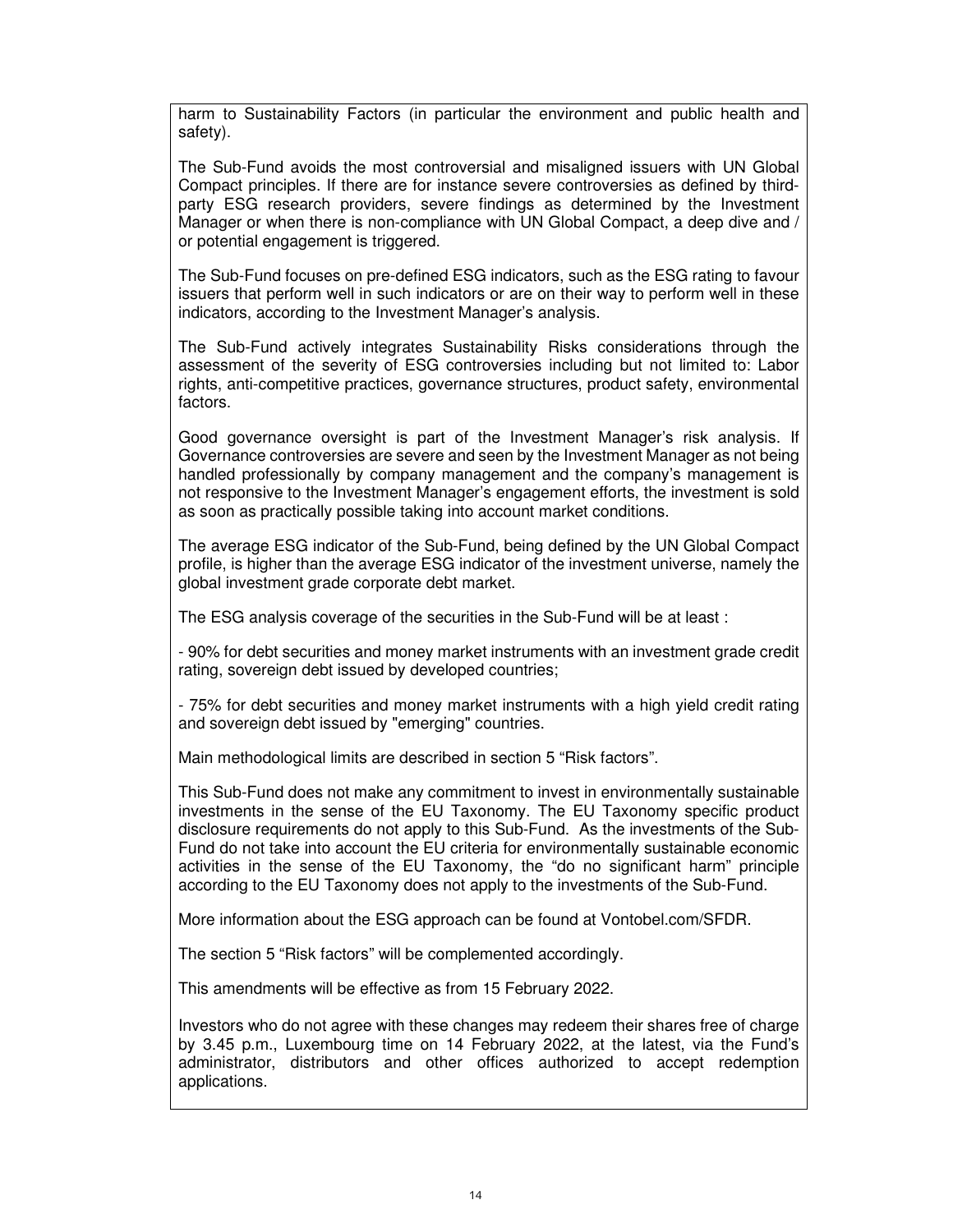harm to Sustainability Factors (in particular the environment and public health and safety).

The Sub-Fund avoids the most controversial and misaligned issuers with UN Global Compact principles. If there are for instance severe controversies as defined by thirdparty ESG research providers, severe findings as determined by the Investment Manager or when there is non-compliance with UN Global Compact, a deep dive and / or potential engagement is triggered.

The Sub-Fund focuses on pre-defined ESG indicators, such as the ESG rating to favour issuers that perform well in such indicators or are on their way to perform well in these indicators, according to the Investment Manager's analysis.

The Sub-Fund actively integrates Sustainability Risks considerations through the assessment of the severity of ESG controversies including but not limited to: Labor rights, anti-competitive practices, governance structures, product safety, environmental factors.

Good governance oversight is part of the Investment Manager's risk analysis. If Governance controversies are severe and seen by the Investment Manager as not being handled professionally by company management and the company's management is not responsive to the Investment Manager's engagement efforts, the investment is sold as soon as practically possible taking into account market conditions.

The average ESG indicator of the Sub-Fund, being defined by the UN Global Compact profile, is higher than the average ESG indicator of the investment universe, namely the global investment grade corporate debt market.

The ESG analysis coverage of the securities in the Sub-Fund will be at least :

- 90% for debt securities and money market instruments with an investment grade credit rating, sovereign debt issued by developed countries;

- 75% for debt securities and money market instruments with a high yield credit rating and sovereign debt issued by "emerging" countries.

Main methodological limits are described in section 5 "Risk factors".

This Sub-Fund does not make any commitment to invest in environmentally sustainable investments in the sense of the EU Taxonomy. The EU Taxonomy specific product disclosure requirements do not apply to this Sub-Fund. As the investments of the Sub-Fund do not take into account the EU criteria for environmentally sustainable economic activities in the sense of the EU Taxonomy, the "do no significant harm" principle according to the EU Taxonomy does not apply to the investments of the Sub-Fund.

More information about the ESG approach can be found at Vontobel.com/SFDR.

The section 5 "Risk factors" will be complemented accordingly.

This amendments will be effective as from 15 February 2022.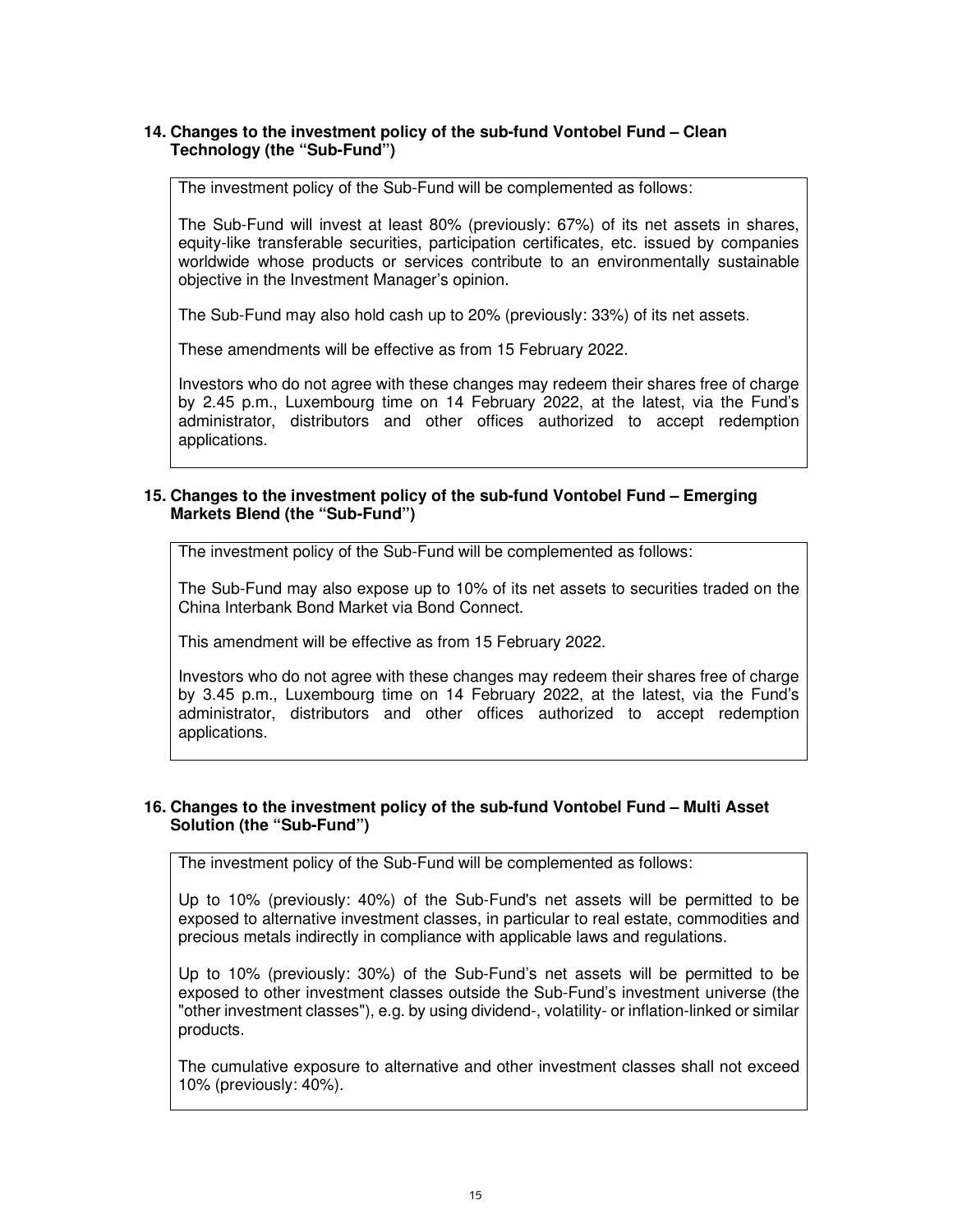# **14. Changes to the investment policy of the sub-fund Vontobel Fund – Clean Technology (the "Sub-Fund")**

The investment policy of the Sub-Fund will be complemented as follows:

The Sub-Fund will invest at least 80% (previously: 67%) of its net assets in shares, equity-like transferable securities, participation certificates, etc. issued by companies worldwide whose products or services contribute to an environmentally sustainable objective in the Investment Manager's opinion.

The Sub-Fund may also hold cash up to 20% (previously: 33%) of its net assets.

These amendments will be effective as from 15 February 2022.

Investors who do not agree with these changes may redeem their shares free of charge by 2.45 p.m., Luxembourg time on 14 February 2022, at the latest, via the Fund's administrator, distributors and other offices authorized to accept redemption applications.

## **15. Changes to the investment policy of the sub-fund Vontobel Fund – Emerging Markets Blend (the "Sub-Fund")**

The investment policy of the Sub-Fund will be complemented as follows:

The Sub-Fund may also expose up to 10% of its net assets to securities traded on the China Interbank Bond Market via Bond Connect.

This amendment will be effective as from 15 February 2022.

Investors who do not agree with these changes may redeem their shares free of charge by 3.45 p.m., Luxembourg time on 14 February 2022, at the latest, via the Fund's administrator, distributors and other offices authorized to accept redemption applications.

## **16. Changes to the investment policy of the sub-fund Vontobel Fund – Multi Asset Solution (the "Sub-Fund")**

The investment policy of the Sub-Fund will be complemented as follows:

Up to 10% (previously: 40%) of the Sub-Fund's net assets will be permitted to be exposed to alternative investment classes, in particular to real estate, commodities and precious metals indirectly in compliance with applicable laws and regulations.

Up to 10% (previously: 30%) of the Sub-Fund's net assets will be permitted to be exposed to other investment classes outside the Sub-Fund's investment universe (the "other investment classes"), e.g. by using dividend-, volatility- or inflation-linked or similar products.

The cumulative exposure to alternative and other investment classes shall not exceed 10% (previously: 40%).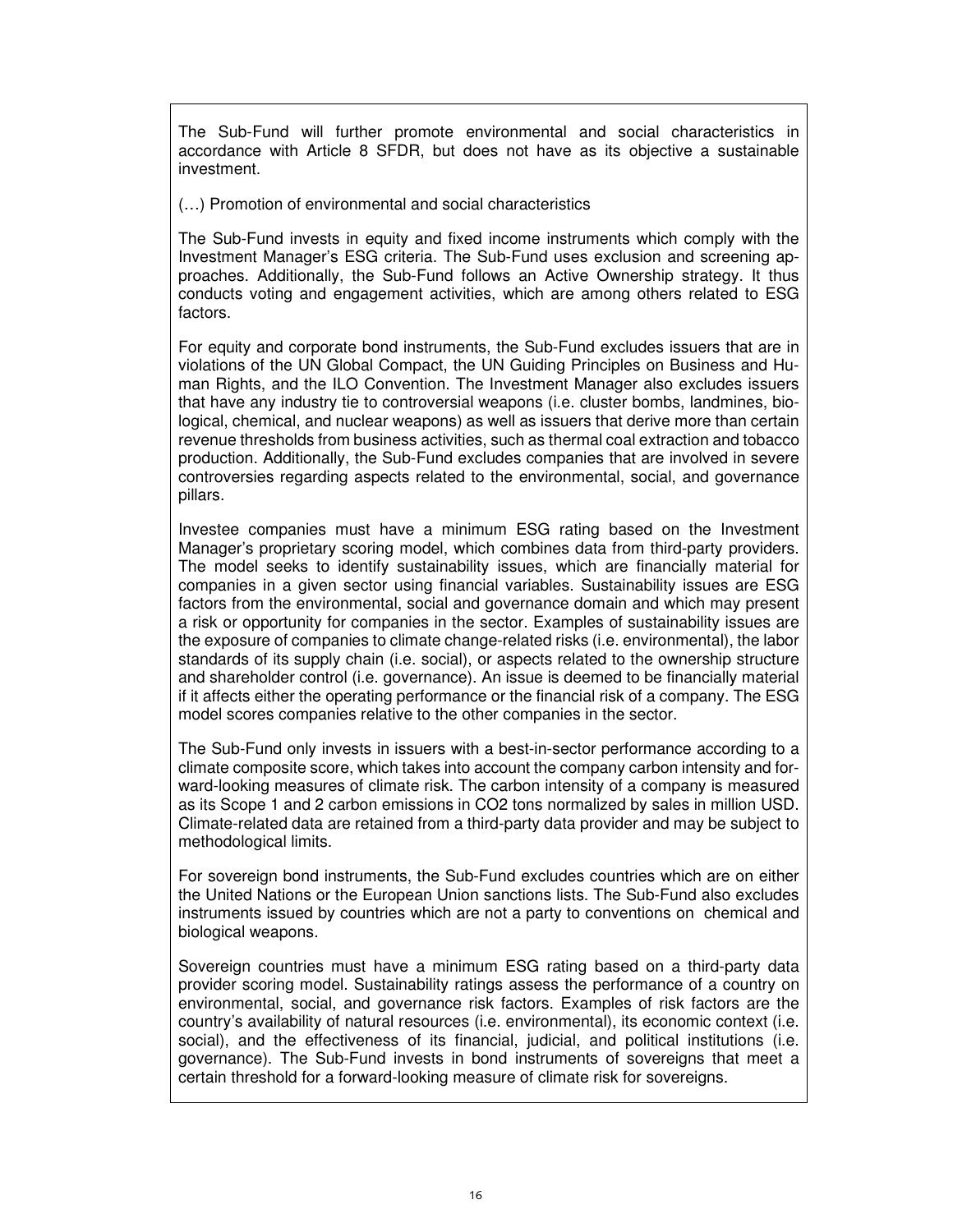The Sub-Fund will further promote environmental and social characteristics in accordance with Article 8 SFDR, but does not have as its objective a sustainable investment.

(…) Promotion of environmental and social characteristics

The Sub-Fund invests in equity and fixed income instruments which comply with the Investment Manager's ESG criteria. The Sub-Fund uses exclusion and screening approaches. Additionally, the Sub-Fund follows an Active Ownership strategy. It thus conducts voting and engagement activities, which are among others related to ESG factors.

For equity and corporate bond instruments, the Sub-Fund excludes issuers that are in violations of the UN Global Compact, the UN Guiding Principles on Business and Human Rights, and the ILO Convention. The Investment Manager also excludes issuers that have any industry tie to controversial weapons (i.e. cluster bombs, landmines, biological, chemical, and nuclear weapons) as well as issuers that derive more than certain revenue thresholds from business activities, such as thermal coal extraction and tobacco production. Additionally, the Sub-Fund excludes companies that are involved in severe controversies regarding aspects related to the environmental, social, and governance pillars.

Investee companies must have a minimum ESG rating based on the Investment Manager's proprietary scoring model, which combines data from third-party providers. The model seeks to identify sustainability issues, which are financially material for companies in a given sector using financial variables. Sustainability issues are ESG factors from the environmental, social and governance domain and which may present a risk or opportunity for companies in the sector. Examples of sustainability issues are the exposure of companies to climate change-related risks (i.e. environmental), the labor standards of its supply chain (i.e. social), or aspects related to the ownership structure and shareholder control (i.e. governance). An issue is deemed to be financially material if it affects either the operating performance or the financial risk of a company. The ESG model scores companies relative to the other companies in the sector.

The Sub-Fund only invests in issuers with a best-in-sector performance according to a climate composite score, which takes into account the company carbon intensity and forward-looking measures of climate risk. The carbon intensity of a company is measured as its Scope 1 and 2 carbon emissions in CO2 tons normalized by sales in million USD. Climate-related data are retained from a third-party data provider and may be subject to methodological limits.

For sovereign bond instruments, the Sub-Fund excludes countries which are on either the United Nations or the European Union sanctions lists. The Sub-Fund also excludes instruments issued by countries which are not a party to conventions on chemical and biological weapons.

Sovereign countries must have a minimum ESG rating based on a third-party data provider scoring model. Sustainability ratings assess the performance of a country on environmental, social, and governance risk factors. Examples of risk factors are the country's availability of natural resources (i.e. environmental), its economic context (i.e. social), and the effectiveness of its financial, judicial, and political institutions (i.e. governance). The Sub-Fund invests in bond instruments of sovereigns that meet a certain threshold for a forward-looking measure of climate risk for sovereigns.